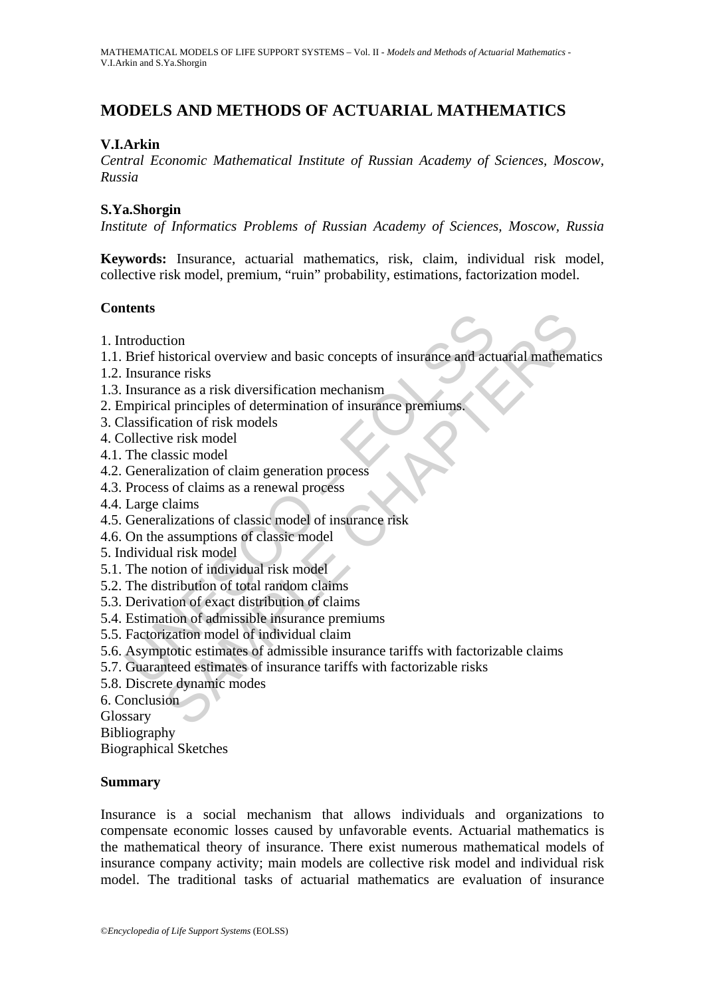# **MODELS AND METHODS OF ACTUARIAL MATHEMATICS**

## **V.I.Arkin**

*Central Economic Mathematical Institute of Russian Academy of Sciences, Moscow, Russia* 

### **S.Ya.Shorgin**

*Institute of Informatics Problems of Russian Academy of Sciences, Moscow, Russia* 

**Keywords:** Insurance, actuarial mathematics, risk, claim, individual risk model, collective risk model, premium, "ruin" probability, estimations, factorization model.

## **Contents**

- 1. Introduction
- ntroduction<br>
Brief historical overview and basic concepts of insurance and act<br>
Insurance risks<br>
Insurance as risk diversification mechanism<br>
mprirical principles of determination of insurance premiums.<br>
lassification of r tion<br>istorical overview and basic concepts of insurance and actuarial mathematics<br>ince risks<br>according as a risk diversification mechanism<br>ation of risk models<br>we risk model<br>were is model<br>were is model<br>assic model<br>assic mo 1.1. Brief historical overview and basic concepts of insurance and actuarial mathematics
- 1.2. Insurance risks
- 1.3. Insurance as a risk diversification mechanism
- 2. Empirical principles of determination of insurance premiums.
- 3. Classification of risk models
- 4. Collective risk model
- 4.1. The classic model
- 4.2. Generalization of claim generation process
- 4.3. Process of claims as a renewal process
- 4.4. Large claims
- 4.5. Generalizations of classic model of insurance risk
- 4.6. On the assumptions of classic model
- 5. Individual risk model
- 5.1. The notion of individual risk model
- 5.2. The distribution of total random claims
- 5.3. Derivation of exact distribution of claims
- 5.4. Estimation of admissible insurance premiums
- 5.5. Factorization model of individual claim
- 5.6. Asymptotic estimates of admissible insurance tariffs with factorizable claims
- 5.7. Guaranteed estimates of insurance tariffs with factorizable risks
- 5.8. Discrete dynamic modes
- 6. Conclusion

Glossary

Bibliography

Biographical Sketches

### **Summary**

Insurance is a social mechanism that allows individuals and organizations to compensate economic losses caused by unfavorable events. Actuarial mathematics is the mathematical theory of insurance. There exist numerous mathematical models of insurance company activity; main models are collective risk model and individual risk model. The traditional tasks of actuarial mathematics are evaluation of insurance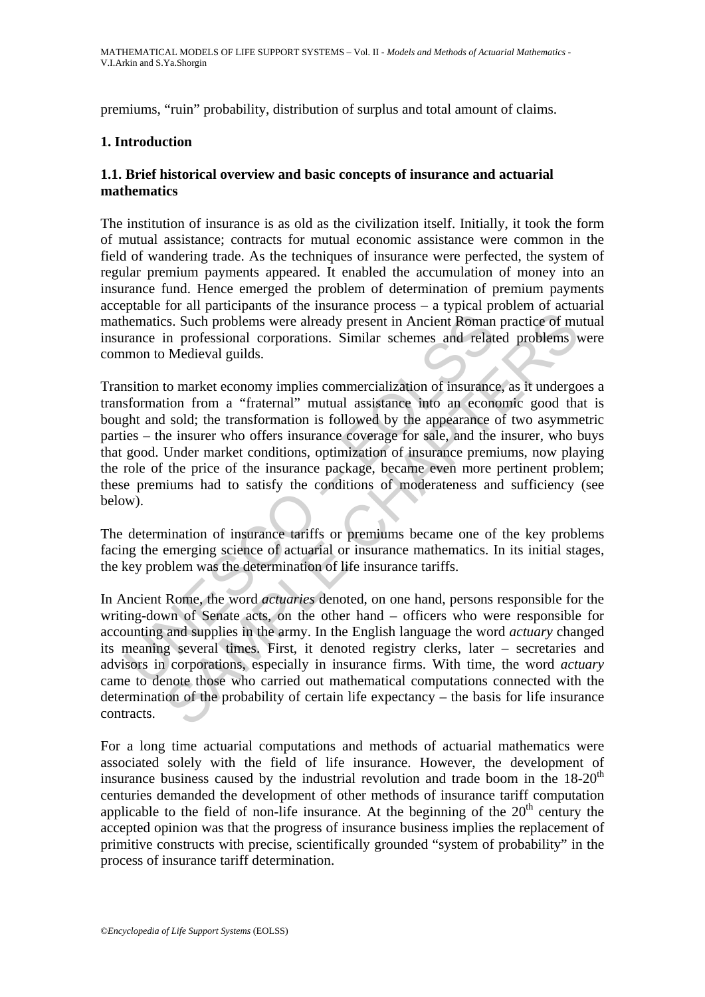premiums, "ruin" probability, distribution of surplus and total amount of claims.

## **1. Introduction**

## **1.1. Brief historical overview and basic concepts of insurance and actuarial mathematics**

The institution of insurance is as old as the civilization itself. Initially, it took the form of mutual assistance; contracts for mutual economic assistance were common in the field of wandering trade. As the techniques of insurance were perfected, the system of regular premium payments appeared. It enabled the accumulation of money into an insurance fund. Hence emerged the problem of determination of premium payments acceptable for all participants of the insurance process – a typical problem of actuarial mathematics. Such problems were already present in Ancient Roman practice of mutual insurance in professional corporations. Similar schemes and related problems were common to Medieval guilds.

nematics. Such problems were already present in Ancient Roman<br>nematics. Such problems were already present in Ancient Roman<br>rance in professional corporations. Similar schemes and relat<br>mon to Medieval guilds.<br>astiton to m ss. Such problems were already present in Ancient Roman practice of mun professional corporations. Similar schemes and related problems Medieval guilds.<br>
to market economy implies commercialization of insurance, as it unde Transition to market economy implies commercialization of insurance, as it undergoes a transformation from a "fraternal" mutual assistance into an economic good that is bought and sold; the transformation is followed by the appearance of two asymmetric parties – the insurer who offers insurance coverage for sale, and the insurer, who buys that good. Under market conditions, optimization of insurance premiums, now playing the role of the price of the insurance package, became even more pertinent problem; these premiums had to satisfy the conditions of moderateness and sufficiency (see below).

The determination of insurance tariffs or premiums became one of the key problems facing the emerging science of actuarial or insurance mathematics. In its initial stages, the key problem was the determination of life insurance tariffs.

In Ancient Rome, the word *actuaries* denoted, on one hand, persons responsible for the writing-down of Senate acts, on the other hand – officers who were responsible for accounting and supplies in the army. In the English language the word *actuary* changed its meaning several times. First, it denoted registry clerks, later – secretaries and advisors in corporations, especially in insurance firms. With time, the word *actuary* came to denote those who carried out mathematical computations connected with the determination of the probability of certain life expectancy – the basis for life insurance contracts.

For a long time actuarial computations and methods of actuarial mathematics were associated solely with the field of life insurance. However, the development of insurance business caused by the industrial revolution and trade boom in the  $18{\text -}20^{\text{th}}$ centuries demanded the development of other methods of insurance tariff computation applicable to the field of non-life insurance. At the beginning of the  $20<sup>th</sup>$  century the accepted opinion was that the progress of insurance business implies the replacement of primitive constructs with precise, scientifically grounded "system of probability" in the process of insurance tariff determination.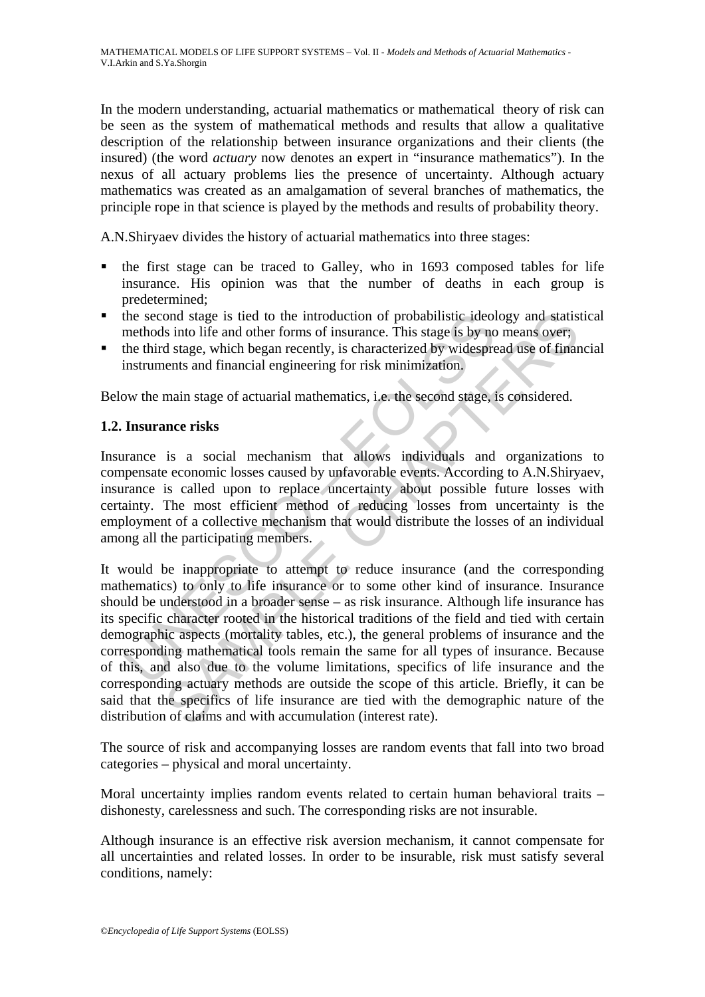In the modern understanding, actuarial mathematics or mathematical theory of risk can be seen as the system of mathematical methods and results that allow a qualitative description of the relationship between insurance organizations and their clients (the insured) (the word *actuary* now denotes an expert in "insurance mathematics"). In the nexus of all actuary problems lies the presence of uncertainty. Although actuary mathematics was created as an amalgamation of several branches of mathematics, the principle rope in that science is played by the methods and results of probability theory.

A.N.Shiryaev divides the history of actuarial mathematics into three stages:

- the first stage can be traced to Galley, who in 1693 composed tables for life insurance. His opinion was that the number of deaths in each group is predetermined;
- the second stage is tied to the introduction of probabilistic ideology and statistical methods into life and other forms of insurance. This stage is by no means over;
- $\bullet$  the third stage, which began recently, is characterized by widespread use of financial instruments and financial engineering for risk minimization.

Below the main stage of actuarial mathematics, i.e. the second stage, is considered.

## **1.2. Insurance risks**

Insurance is a social mechanism that allows individuals and organizations to compensate economic losses caused by unfavorable events. According to A.N.Shiryaev, insurance is called upon to replace uncertainty about possible future losses with certainty. The most efficient method of reducing losses from uncertainty is the employment of a collective mechanism that would distribute the losses of an individual among all the participating members.

the second stage is tied to the introduction of probabilistic ideol<br>methods into life and other forms of insurance. This stage is by nc<br>the third stage, which began recently, is characterized by widespre-<br>instruments and f ond stage is tied to the introduction of probabilistic ideology and statis<br>sinc to life and other forms of insurance. This stage is by no means over;<br>distage, which began recently, is characterized by widespread use of fin It would be inappropriate to attempt to reduce insurance (and the corresponding mathematics) to only to life insurance or to some other kind of insurance. Insurance should be understood in a broader sense – as risk insurance. Although life insurance has its specific character rooted in the historical traditions of the field and tied with certain demographic aspects (mortality tables, etc.), the general problems of insurance and the corresponding mathematical tools remain the same for all types of insurance. Because of this, and also due to the volume limitations, specifics of life insurance and the corresponding actuary methods are outside the scope of this article. Briefly, it can be said that the specifics of life insurance are tied with the demographic nature of the distribution of claims and with accumulation (interest rate).

The source of risk and accompanying losses are random events that fall into two broad categories – physical and moral uncertainty.

Moral uncertainty implies random events related to certain human behavioral traits – dishonesty, carelessness and such. The corresponding risks are not insurable.

Although insurance is an effective risk aversion mechanism, it cannot compensate for all uncertainties and related losses. In order to be insurable, risk must satisfy several conditions, namely: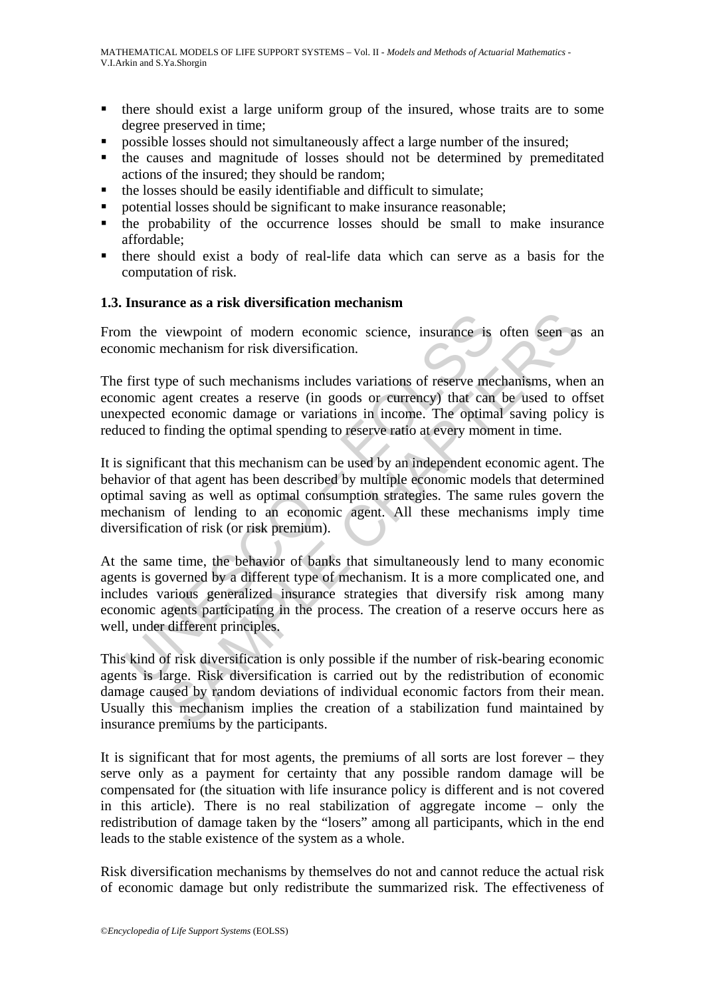- there should exist a large uniform group of the insured, whose traits are to some degree preserved in time;
- possible losses should not simultaneously affect a large number of the insured;
- the causes and magnitude of losses should not be determined by premeditated actions of the insured; they should be random;
- the losses should be easily identifiable and difficult to simulate;
- potential losses should be significant to make insurance reasonable;
- the probability of the occurrence losses should be small to make insurance affordable;
- there should exist a body of real-life data which can serve as a basis for the computation of risk.

### **1.3. Insurance as a risk diversification mechanism**

From the viewpoint of modern economic science, insurance is often seen as an economic mechanism for risk diversification.

The first type of such mechanisms includes variations of reserve mechanisms, when an economic agent creates a reserve (in goods or currency) that can be used to offset unexpected economic damage or variations in income. The optimal saving policy is reduced to finding the optimal spending to reserve ratio at every moment in time.

In the viewpoint of modern economic science, insurance is<br>nomic mechanism for risk diversification.<br>first type of such mechanisms includes variations of reserve me<br>nomic agent creates a reserve (in goods or currency) that viewpoint of modern economic science, insurance is often seen as<br>mechanism for risk diversification.<br>megant reates a reserve (in goods or entrency) that can be used to o.<br>agent reates a reserve (in goods or entrency) that It is significant that this mechanism can be used by an independent economic agent. The behavior of that agent has been described by multiple economic models that determined optimal saving as well as optimal consumption strategies. The same rules govern the mechanism of lending to an economic agent. All these mechanisms imply time diversification of risk (or risk premium).

At the same time, the behavior of banks that simultaneously lend to many economic agents is governed by a different type of mechanism. It is a more complicated one, and includes various generalized insurance strategies that diversify risk among many economic agents participating in the process. The creation of a reserve occurs here as well, under different principles.

This kind of risk diversification is only possible if the number of risk-bearing economic agents is large. Risk diversification is carried out by the redistribution of economic damage caused by random deviations of individual economic factors from their mean. Usually this mechanism implies the creation of a stabilization fund maintained by insurance premiums by the participants.

It is significant that for most agents, the premiums of all sorts are lost forever – they serve only as a payment for certainty that any possible random damage will be compensated for (the situation with life insurance policy is different and is not covered in this article). There is no real stabilization of aggregate income – only the redistribution of damage taken by the "losers" among all participants, which in the end leads to the stable existence of the system as a whole.

Risk diversification mechanisms by themselves do not and cannot reduce the actual risk of economic damage but only redistribute the summarized risk. The effectiveness of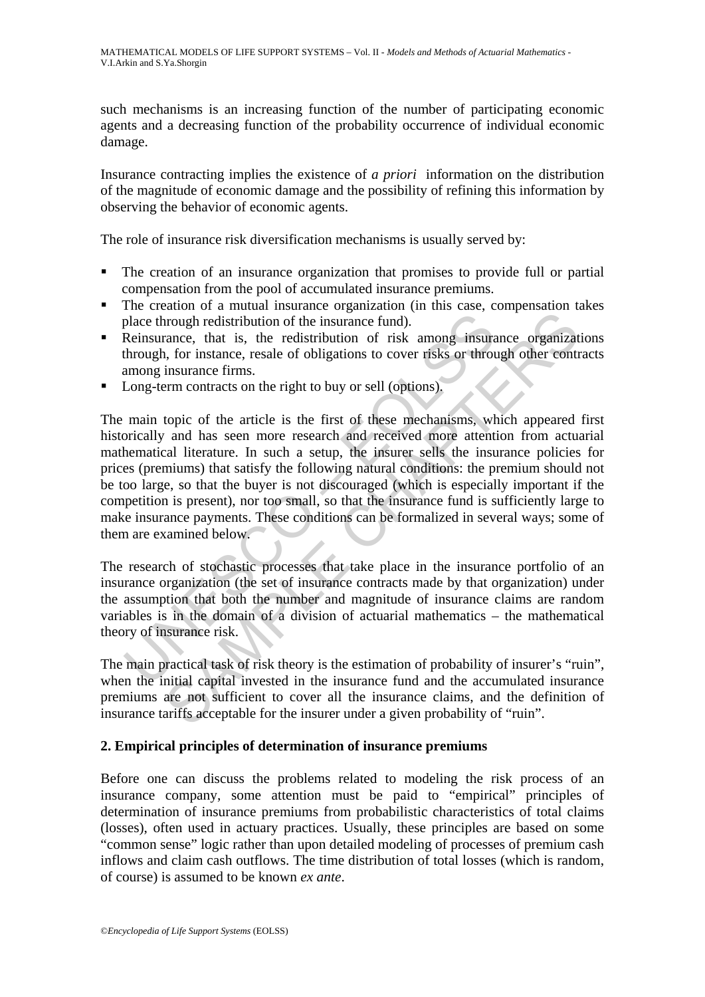such mechanisms is an increasing function of the number of participating economic agents and a decreasing function of the probability occurrence of individual economic damage.

Insurance contracting implies the existence of *a priori* information on the distribution of the magnitude of economic damage and the possibility of refining this information by observing the behavior of economic agents.

The role of insurance risk diversification mechanisms is usually served by:

- The creation of an insurance organization that promises to provide full or partial compensation from the pool of accumulated insurance premiums.
- The creation of a mutual insurance organization (in this case, compensation takes place through redistribution of the insurance fund).
- Reinsurance, that is, the redistribution of risk among insurance organizations through, for instance, resale of obligations to cover risks or through other contracts among insurance firms.
- **Long-term contracts on the right to buy or sell (options).**

place through redistribution of the insurance fund).<br>Reinsurance, that is, the redistribution of risk among insurathrough, for instance, resale of obligations to cover risks or throu<br>among insurance firms.<br>Long-term contra The state is the red in the insurance fund).<br>
In the insurance consideration of the insurance fund).<br>
In a rance, that is, the redistribution of risk among insurance organizat<br>
insurance firms.<br>
In insurance firms.<br>
In in The main topic of the article is the first of these mechanisms, which appeared first historically and has seen more research and received more attention from actuarial mathematical literature. In such a setup, the insurer sells the insurance policies for prices (premiums) that satisfy the following natural conditions: the premium should not be too large, so that the buyer is not discouraged (which is especially important if the competition is present), nor too small, so that the insurance fund is sufficiently large to make insurance payments. These conditions can be formalized in several ways; some of them are examined below.

The research of stochastic processes that take place in the insurance portfolio of an insurance organization (the set of insurance contracts made by that organization) under the assumption that both the number and magnitude of insurance claims are random variables is in the domain of a division of actuarial mathematics – the mathematical theory of insurance risk.

The main practical task of risk theory is the estimation of probability of insurer's "ruin", when the initial capital invested in the insurance fund and the accumulated insurance premiums are not sufficient to cover all the insurance claims, and the definition of insurance tariffs acceptable for the insurer under a given probability of "ruin".

### **2. Empirical principles of determination of insurance premiums**

Before one can discuss the problems related to modeling the risk process of an insurance company, some attention must be paid to "empirical" principles of determination of insurance premiums from probabilistic characteristics of total claims (losses), often used in actuary practices. Usually, these principles are based on some "common sense" logic rather than upon detailed modeling of processes of premium cash inflows and claim cash outflows. The time distribution of total losses (which is random, of course) is assumed to be known *ex ante*.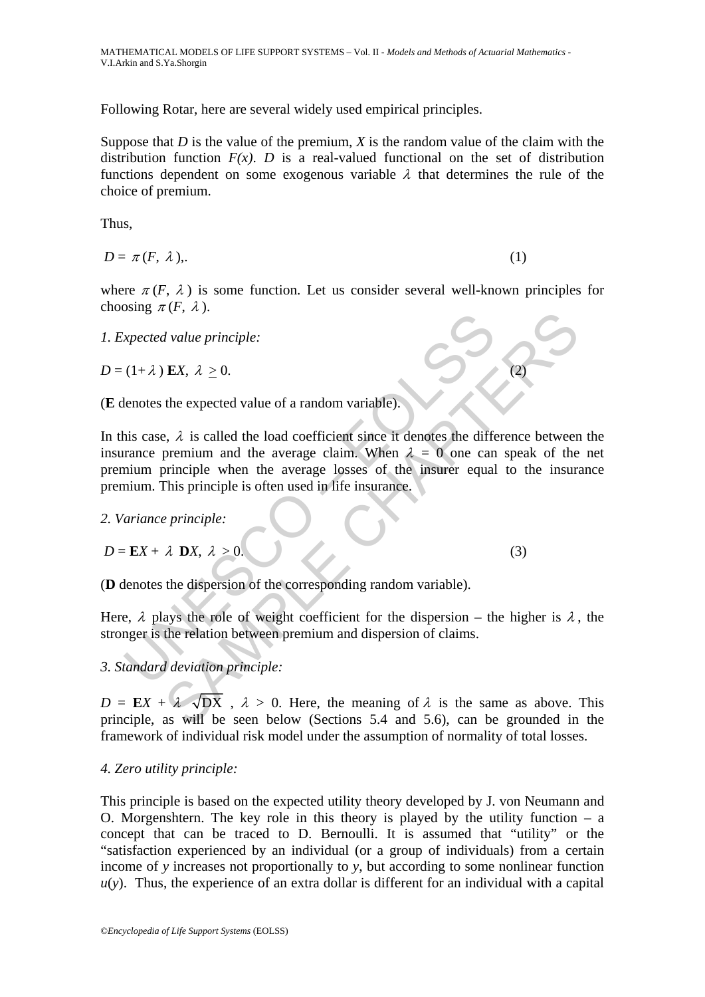Following Rotar, here are several widely used empirical principles.

Suppose that *D* is the value of the premium, *X* is the random value of the claim with the distribution function  $F(x)$ . *D* is a real-valued functional on the set of distribution functions dependent on some exogenous variable  $\lambda$  that determines the rule of the choice of premium.

Thus,

 $D = \pi(F, \lambda).$  (1)

where  $\pi(F, \lambda)$  is some function. Let us consider several well-known principles for choosing  $\pi(F, \lambda)$ .

*1. Expected value principle:* 

 $D = (1 + \lambda)$  **E***X*,  $\lambda > 0$ .

(**E** denotes the expected value of a random variable).

Example  $\lambda$  is  $\lambda \ge 0$ .<br>
Lenotes the expected value of a random variable).<br>
Lenotes the expected value of a random variable).<br>
his case,  $\lambda$  is called the load coefficient since it denotes the difference premium and th *A* value principle:<br> **EX**,  $\lambda \ge 0$ .<br>
the expected value of a random variable).<br>  $\lambda$ ,  $\lambda$  is called the load coefficient since it denotes the difference between<br>
premium and the average claim. When  $\lambda = 0$  one can spea In this case,  $\lambda$  is called the load coefficient since it denotes the difference between the insurance premium and the average claim. When  $\lambda = 0$  one can speak of the net premium principle when the average losses of the insurer equal to the insurance premium. This principle is often used in life insurance.

*2. Variance principle:* 

$$
D = \mathbf{E}X + \lambda \mathbf{D}X, \lambda > 0. \tag{3}
$$

(**D** denotes the dispersion of the corresponding random variable).

Here,  $\lambda$  plays the role of weight coefficient for the dispersion – the higher is  $\lambda$ , the stronger is the relation between premium and dispersion of claims.

## *3. Standard deviation principle:*

 $D = EX + \lambda \sqrt{DX}$ ,  $\lambda > 0$ . Here, the meaning of  $\lambda$  is the same as above. This principle, as will be seen below (Sections 5.4 and 5.6), can be grounded in the framework of individual risk model under the assumption of normality of total losses.

## *4. Zero utility principle:*

This principle is based on the expected utility theory developed by J. von Neumann and O. Morgenshtern. The key role in this theory is played by the utility function  $-$  a concept that can be traced to D. Bernoulli. It is assumed that "utility" or the "satisfaction experienced by an individual (or a group of individuals) from a certain income of *y* increases not proportionally to *y*, but according to some nonlinear function  $u(y)$ . Thus, the experience of an extra dollar is different for an individual with a capital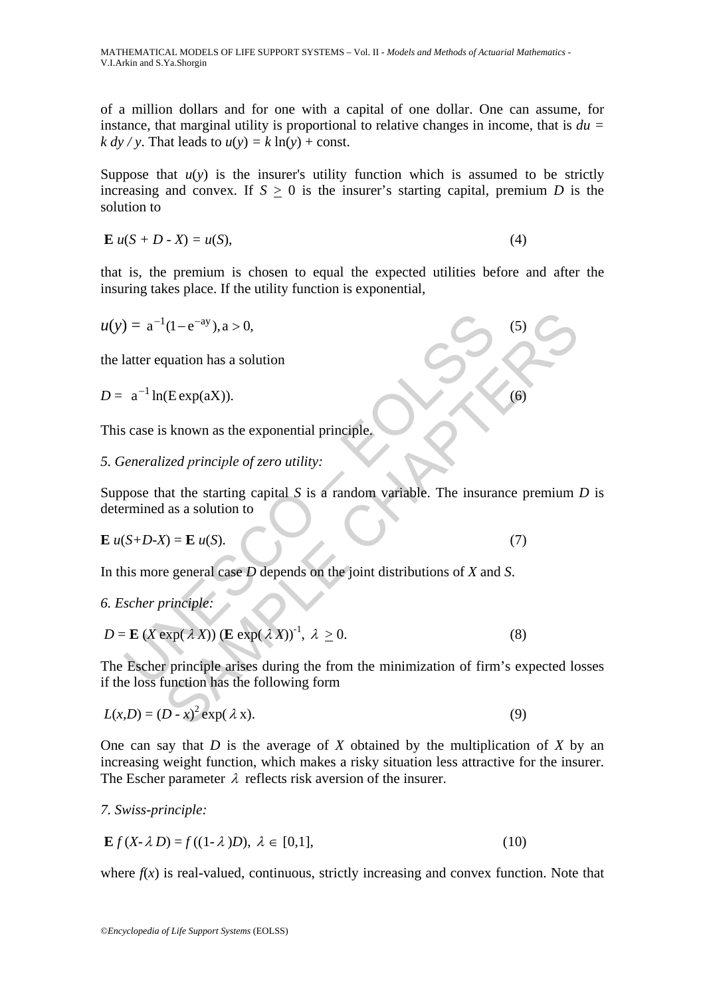of a million dollars and for one with a capital of one dollar. One can assume, for instance, that marginal utility is proportional to relative changes in income, that is *du =*   $k \, dv / v$ . That leads to  $u(v) = k \ln(v) + const.$ 

Suppose that  $u(y)$  is the insurer's utility function which is assumed to be strictly increasing and convex. If  $S > 0$  is the insurer's starting capital, premium *D* is the solution to

$$
\mathbf{E} u(S + D \cdot X) = u(S),\tag{4}
$$

that is, the premium is chosen to equal the expected utilities before and after the insuring takes place. If the utility function is exponential,

$$
u(y) = a^{-1}(1 - e^{-ay}), a > 0,
$$
\n(5)

the latter equation has a solution

 $D = a^{-1} \ln(\text{Exp}(aX)).$  (6)

This case is known as the exponential principle.

## *5. Generalized рrinciрle of zero utility:*

 $\mathbf{a}^{-1}(1-\mathbf{e}^{-\mathbf{a}\mathbf{y}}), \mathbf{a} > 0,$ <br>
atter equation has a solution<br>  $\mathbf{a}^{-1} \ln(\text{Exp}(\mathbf{a}\mathbf{X}))$ .<br>
scase is known as the exponential principle.<br> *ieneralized principle of zero utility:*<br>
pose that the starting capi Suppose that the starting capital *S* is a random variable. The insurance premium *D* is determined as a solution to

$$
\mathbf{E} \ u(S+D-X) = \mathbf{E} \ u(S). \tag{7}
$$

In this more general case *D* depends on the joint distributions of *X* and *S*.

*6. Escher principle:* 

$$
D = \mathbf{E} \left( X \exp(\lambda X) \right) (\mathbf{E} \exp(\lambda X))^{-1}, \lambda \ge 0. \tag{8}
$$

(1-e<sup>-ay</sup>), a > 0,<br>
quation has a solution<br>
(Eexp(aX)).<br>
S known as the exponential principle,<br>
ized principle of zero utility:<br>
at the starting capital S is a random variable. The insurance premium<br>
as a solution to<br>
(7) The Escher principle arises during the from the minimization of firm's expected losses if the loss function has the following form

$$
L(x,D) = (D - x)^2 \exp(\lambda x). \tag{9}
$$

One can say that *D* is the average of *X* obtained by the multiplication of *X* by an increasing weight function, which makes a risky situation less attractive for the insurer. The Escher parameter  $\lambda$  reflects risk aversion of the insurer.

*7. Swiss-principle:* 

$$
\mathbf{E}f(X-\lambda D) = f((1-\lambda)D), \lambda \in [0,1],\tag{10}
$$

where  $f(x)$  is real-valued, continuous, strictly increasing and convex function. Note that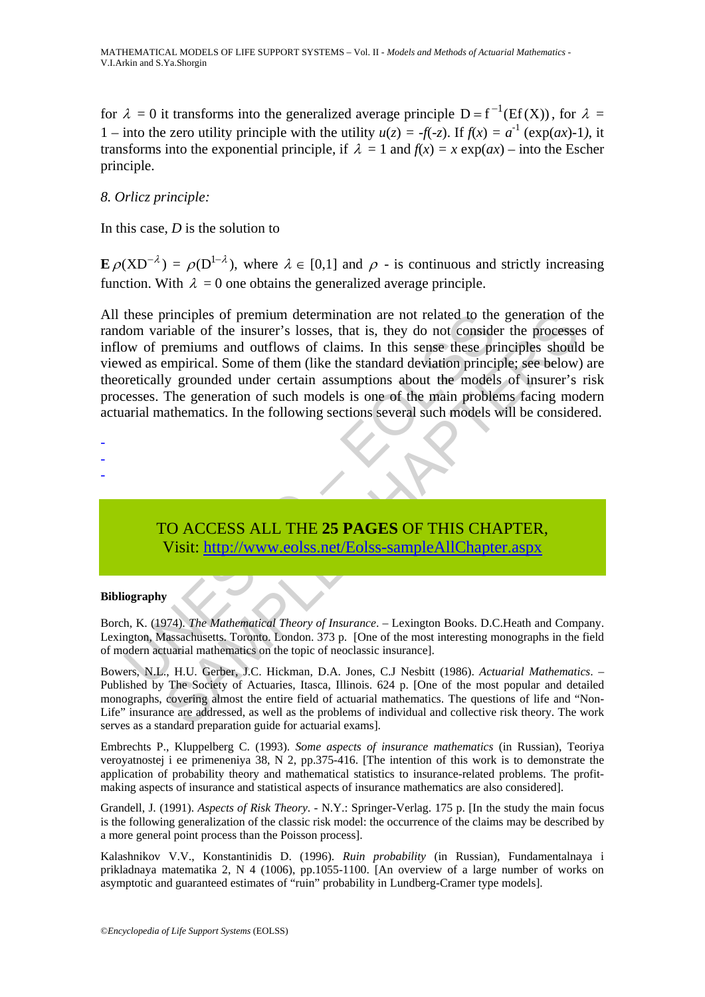for  $\lambda = 0$  it transforms into the generalized average principle  $D = f^{-1}(Ef(X))$ , for  $\lambda =$ 1 – into the zero utility principle with the utility  $u(z) = -f(-z)$ . If  $f(x) = a^{-1}$  (exp(*ax*)-1), it transforms into the exponential principle, if  $\lambda = 1$  and  $f(x) = x \exp(ax)$  – into the Escher principle.

### *8. Orlicz principle:*

In this case, *D* is the solution to

 $\mathbf{E} \rho (XD^{-\lambda}) = \rho (D^{1-\lambda})$ , where  $\lambda \in [0,1]$  and  $\rho$  - is continuous and strictly increasing function. With  $\lambda = 0$  one obtains the generalized average principle.

these principles of premium determination are not related to the<br>lom variable of the insurer's losses, that is, they do not conside<br>ow of premiums and outflows of claims. In this sense these pre-<br>wed as empirical. Some of principles of premium determination are not related to the generation of<br>rabile of the insurer's losses, that is, they do not consider the processe<br>primiums and outflows of claims. In this sense these principles should<br>emp All these principles of premium determination are not related to the generation of the random variable of the insurer's losses, that is, they do not consider the processes of inflow of premiums and outflows of claims. In this sense these principles should be viewed as empirical. Some of them (like the standard deviation principle; see below) are theoretically grounded under certain assumptions about the models of insurer's risk processes. The generation of such models is one of the main problems facing modern actuarial mathematics. In the following sections several such models will be considered.

- -
- -
- -

# TO ACCESS ALL THE **25 PAGES** OF THIS CHAPTER, Visit: http://www.eolss.net/Eolss-sampleAllChapter.aspx

#### **Bibliography**

Borch, K. (1974). *The Mathematical Theory of Insurance*. – Lexington Books. D.C.Heath and Company. Lexington, Massachusetts. Toronto. London. 373 p. [One of the most interesting monographs in the field of modern actuarial mathematics on the topic of neoclassic insurance].

Bowers, N.L., H.U. Gerber, J.C. Hickman, D.A. Jones, C.J Nesbitt (1986). *Actuarial Mathematics*. – Published by The Society of Actuaries, Itasca, Illinois. 624 p. [One of the most popular and detailed monographs, covering almost the entire field of actuarial mathematics. The questions of life and "Non-Life" insurance are addressed, as well as the problems of individual and collective risk theory. The work serves as a standard preparation guide for actuarial exams].

Embrechts P., Kluppelberg C. (1993). *Some aspects of insurance mathematics* (in Russian), Teoriya veroyatnostej i ee primeneniya 38, N 2, pp.375-416. [The intention of this work is to demonstrate the application of probability theory and mathematical statistics to insurance-related problems. The profitmaking aspects of insurance and statistical aspects of insurance mathematics are also considered].

Grandell, J. (1991). *Aspects of Risk Theory*. - N.Y.: Springer-Verlag. 175 p. [In the study the main focus is the following generalization of the classic risk model: the occurrence of the claims may be described by a more general point process than the Poisson process].

Kalashnikov V.V., Konstantinidis D. (1996). *Ruin probability* (in Russian), Fundamentalnaya i prikladnaya matematika 2, N 4 (1006), pp.1055-1100. [An overview of a large number of works on asymptotic and guaranteed estimates of "ruin" probability in Lundberg-Cramer type models].